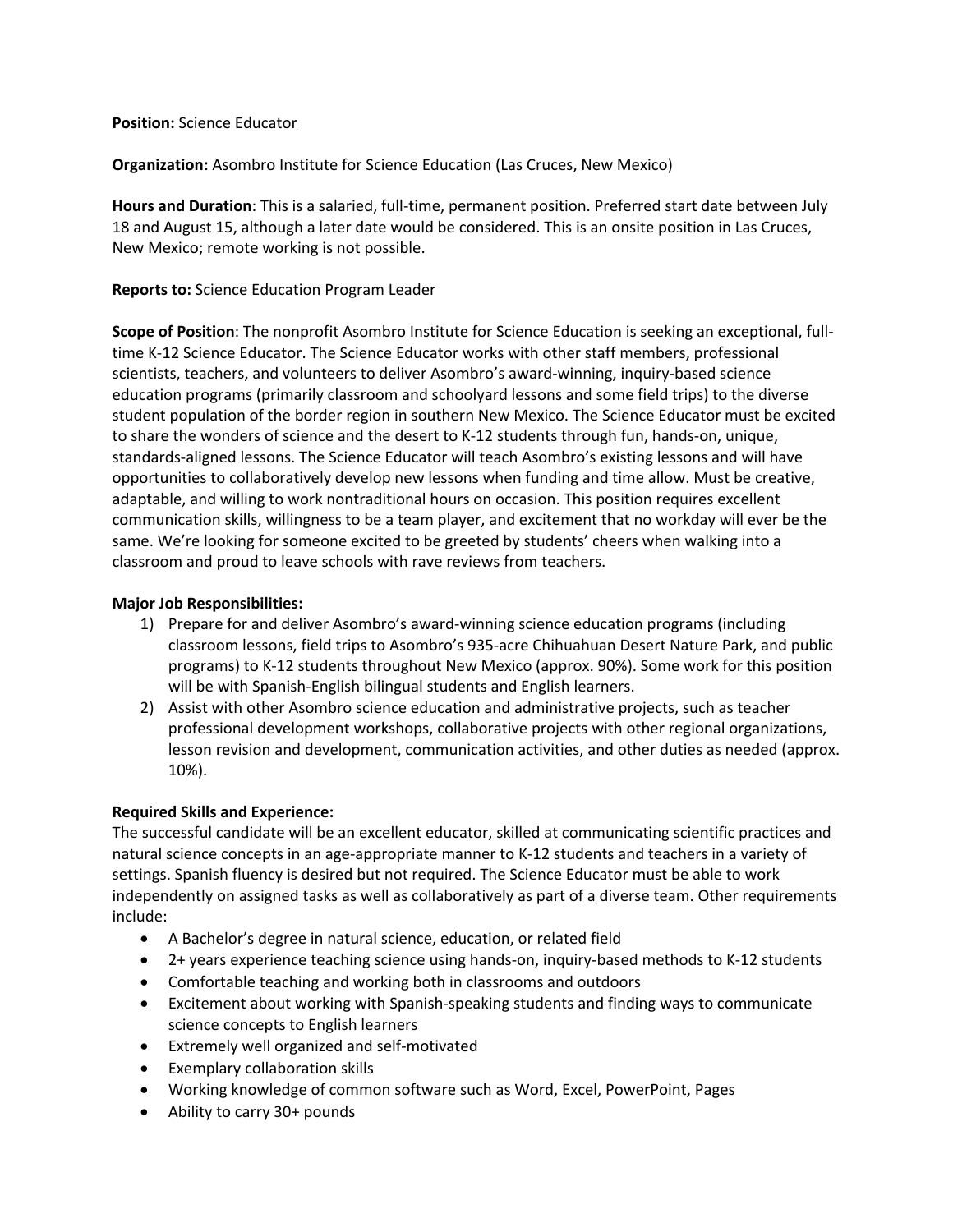#### **Position:** Science Educator

**Organization:** Asombro Institute for Science Education (Las Cruces, New Mexico)

**Hours and Duration**: This is a salaried, full-time, permanent position. Preferred start date between July 18 and August 15, although a later date would be considered. This is an onsite position in Las Cruces, New Mexico; remote working is not possible.

## **Reports to:** Science Education Program Leader

**Scope of Position**: The nonprofit Asombro Institute for Science Education is seeking an exceptional, fulltime K-12 Science Educator. The Science Educator works with other staff members, professional scientists, teachers, and volunteers to deliver Asombro's award-winning, inquiry-based science education programs (primarily classroom and schoolyard lessons and some field trips) to the diverse student population of the border region in southern New Mexico. The Science Educator must be excited to share the wonders of science and the desert to K-12 students through fun, hands-on, unique, standards-aligned lessons. The Science Educator will teach Asombro's existing lessons and will have opportunities to collaboratively develop new lessons when funding and time allow. Must be creative, adaptable, and willing to work nontraditional hours on occasion. This position requires excellent communication skills, willingness to be a team player, and excitement that no workday will ever be the same. We're looking for someone excited to be greeted by students' cheers when walking into a classroom and proud to leave schools with rave reviews from teachers.

### **Major Job Responsibilities:**

- 1) Prepare for and deliver Asombro's award-winning science education programs (including classroom lessons, field trips to Asombro's 935-acre Chihuahuan Desert Nature Park, and public programs) to K-12 students throughout New Mexico (approx. 90%). Some work for this position will be with Spanish-English bilingual students and English learners.
- 2) Assist with other Asombro science education and administrative projects, such as teacher professional development workshops, collaborative projects with other regional organizations, lesson revision and development, communication activities, and other duties as needed (approx. 10%).

### **Required Skills and Experience:**

The successful candidate will be an excellent educator, skilled at communicating scientific practices and natural science concepts in an age-appropriate manner to K-12 students and teachers in a variety of settings. Spanish fluency is desired but not required. The Science Educator must be able to work independently on assigned tasks as well as collaboratively as part of a diverse team. Other requirements include:

- A Bachelor's degree in natural science, education, or related field
- 2+ years experience teaching science using hands-on, inquiry-based methods to K-12 students
- Comfortable teaching and working both in classrooms and outdoors
- Excitement about working with Spanish-speaking students and finding ways to communicate science concepts to English learners
- Extremely well organized and self-motivated
- Exemplary collaboration skills
- Working knowledge of common software such as Word, Excel, PowerPoint, Pages
- Ability to carry 30+ pounds